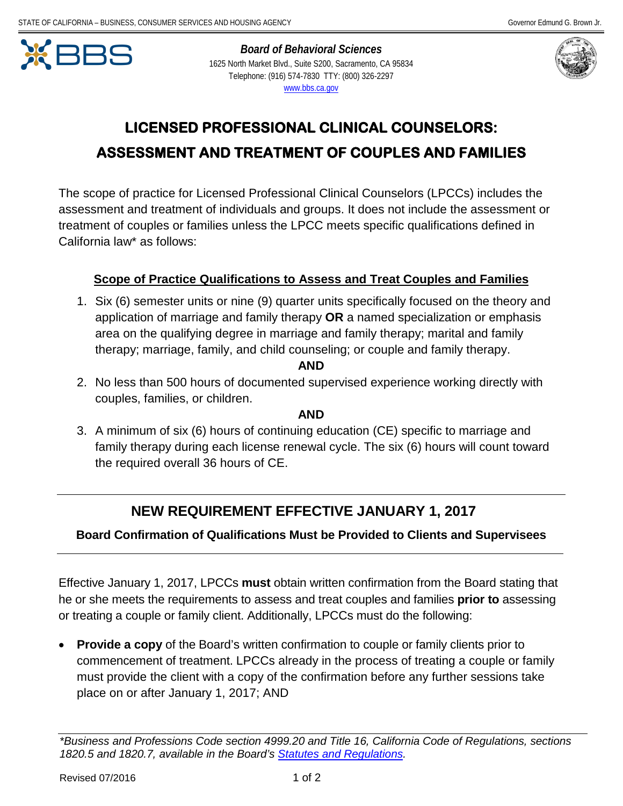

 *Board of Behavioral Sciences*  1625 North Market Blvd., Suite S200, Sacramento, CA 95834 Telephone: (916) 574-7830 TTY: (800) 326-2297 [www.bbs.ca.gov](http://www.bbs.ca.gov/) 



# **LICENSED PROFESSIONAL CLINICAL COUNSELORS: ASSESSMENT AND TREATMENT OF COUPLES AND FAMILIES**

 California law\* as follows: The scope of practice for Licensed Professional Clinical Counselors (LPCCs) includes the assessment and treatment of individuals and groups. It does not include the assessment or treatment of couples or families unless the LPCC meets specific qualifications defined in

# **Scope of Practice Qualifications to Assess and Treat Couples and Families**

 1. Six (6) semester units or nine (9) quarter units specifically focused on the theory and therapy; marriage, family, and child counseling; or couple and family therapy. application of marriage and family therapy **OR** a named specialization or emphasis area on the qualifying degree in marriage and family therapy; marital and family

#### **AND**

2. No less than 500 hours of documented supervised experience working directly with couples, families, or children.

#### **AND**

 3. A minimum of six (6) hours of continuing education (CE) specific to marriage and family therapy during each license renewal cycle. The six (6) hours will count toward the required overall 36 hours of CE.

# **NEW REQUIREMENT EFFECTIVE JANUARY 1, 2017**

### **Board Confirmation of Qualifications Must be Provided to Clients and Supervisees**

 Effective January 1, 2017, LPCCs **must** obtain written confirmation from the Board stating that he or she meets the requirements to assess and treat couples and families **prior to** assessing or treating a couple or family client. Additionally, LPCCs must do the following:

 must provide the client with a copy of the confirmation before any further sessions take • **Provide a copy** of the Board's written confirmation to couple or family clients prior to commencement of treatment. LPCCs already in the process of treating a couple or family place on or after January 1, 2017; AND

*<sup>\*</sup>Business and Professions Code section 4999.20 and Title 16, California Code of Regulations, sections 1820.5 and 1820.7, available in the Board's [Statutes and Regulations.](http://www.bbs.ca.gov/pdf/publications/lawsregs.pdf)*